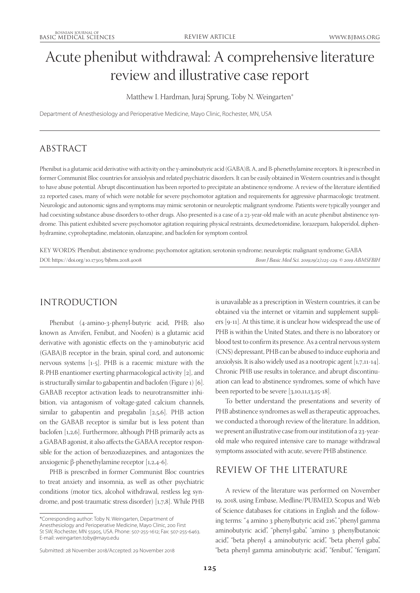# Acute phenibut withdrawal: A comprehensive literature review and illustrative case report

Matthew I. Hardman, Juraj Sprung, Toby N. Weingarten\*

Department of Anesthesiology and Perioperative Medicine, Mayo Clinic, Rochester, MN, USA

## ABSTRACT

Phenibut is a glutamic acid derivative with activity on the γ-aminobutyric acid (GABA)B, A, and B-phenethylamine receptors. It is prescribed in former Communist Bloc countries for anxiolysis and related psychiatric disorders. It can be easily obtained in Western countries and is thought to have abuse potential. Abrupt discontinuation has been reported to precipitate an abstinence syndrome. A review of the literature identified 22 reported cases, many of which were notable for severe psychomotor agitation and requirements for aggressive pharmacologic treatment. Neurologic and autonomic signs and symptoms may mimic serotonin or neuroleptic malignant syndrome. Patients were typically younger and had coexisting substance abuse disorders to other drugs. Also presented is a case of a 23-year-old male with an acute phenibut abstinence syndrome. This patient exhibited severe psychomotor agitation requiring physical restraints, dexmedetomidine, lorazepam, haloperidol, diphenhydramine, cyproheptadine, melatonin, olanzapine, and baclofen for symptom control.

KEY WORDS: Phenibut; abstinence syndrome; psychomotor agitation; serotonin syndrome; neuroleptic malignant syndrome; GABA DOI: https://doi.org/10.17305/bjbms.2018.4008 *Bosn J Basic Med Sci. 2019;19(2):125-129. © 2019 ABMSFBIH*

## INTRODUCTION

Phenibut (4-amino-3-phenyl-butyric acid, PHB; also known as Anvifen, Fenibut, and Noofen) is a glutamic acid derivative with agonistic effects on the γ-aminobutyric acid (GABA)B receptor in the brain, spinal cord, and autonomic nervous systems [1-5]. PHB is a racemic mixture with the R-PHB enantiomer exerting pharmacological activity [2], and is structurally similar to gabapentin and baclofen (Figure 1) [6]. GABAB receptor activation leads to neurotransmitter inhibition, via antagonism of voltage-gated calcium channels, similar to gabapentin and pregabalin [2,5,6]. PHB action on the GABAB receptor is similar but is less potent than baclofen [1,2,6]. Furthermore, although PHB primarily acts as a GABAB agonist, it also affects the GABAA receptor responsible for the action of benzodiazepines, and antagonizes the anxiogenic β-phenethylamine receptor [1,2,4-6].

PHB is prescribed in former Communist Bloc countries to treat anxiety and insomnia, as well as other psychiatric conditions (motor tics, alcohol withdrawal, restless leg syndrome, and post-traumatic stress disorder) [1,7,8]. While PHB

\*Corresponding author: Toby N. Weingarten, Department of Anesthesiology and Perioperative Medicine, Mayo Clinic, 200 First St SW, Rochester, MN 55905, USA. Phone: 507-255-1612; Fax: 507-255-6463. E-mail: weingarten.toby@mayo.edu

Submitted: 28 November 2018/Accepted: 29 November 2018

is unavailable as a prescription in Western countries, it can be obtained via the internet or vitamin and supplement suppliers [9-11]. At this time, it is unclear how widespread the use of PHB is within the United States, and there is no laboratory or blood test to confirm its presence. As a central nervous system (CNS) depressant, PHB can be abused to induce euphoria and anxiolysis. It is also widely used as a nootropic agent [1,7,11-14]. Chronic PHB use results in tolerance, and abrupt discontinuation can lead to abstinence syndromes, some of which have been reported to be severe [3,10,11,13,15-18].

To better understand the presentations and severity of PHB abstinence syndromes as well as therapeutic approaches, we conducted a thorough review of the literature. In addition, we present an illustrative case from our institution of a 23-yearold male who required intensive care to manage withdrawal symptoms associated with acute, severe PHB abstinence.

## REVIEW OF THE LITERATURE

A review of the literature was performed on November 19, 2018, using Embase, Medline/PUBMED, Scopus and Web of Science databases for citations in English and the following terms: "4 amino 3 phenylbutyric acid 216", "phenyl gamma aminobutyric acid", "phenyl-gaba", "amino 3 phenylbutanoic acid", "beta phenyl 4 aminobutyric acid", "beta phenyl gaba", "beta phenyl gamma aminobutyric acid", "fenibut", "fenigam",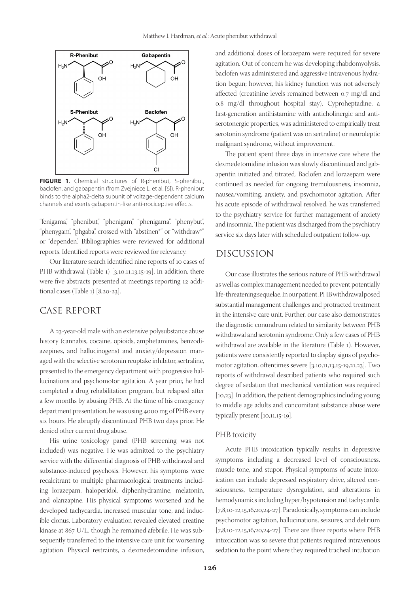

**FIGURE 1**. Chemical structures of R-phenibut, S-phenibut, baclofen, and gabapentin (from Zvejniece L. et al. [6]). R-phenibut binds to the alpha2-delta subunit of voltage-dependent calcium channels and exerts gabapentin-like anti-nociceptive effects.

"fenigama", "phenibut", "phenigam", "phenigama", "phenybut", "phenygam", "phgaba", crossed with "abstinen\*" or "withdraw\*" or "dependen". Bibliographies were reviewed for additional reports. Identified reports were reviewed for relevancy.

Our literature search identified nine reports of 10 cases of PHB withdrawal (Table 1) [3,10,11,13,15-19]. In addition, there were five abstracts presented at meetings reporting 12 additional cases (Table 1) [8,20-23].

## CASE REPORT

A 23-year-old male with an extensive polysubstance abuse history (cannabis, cocaine, opioids, amphetamines, benzodiazepines, and hallucinogens) and anxiety/depression managed with the selective serotonin reuptake inhibitor, sertraline, presented to the emergency department with progressive hallucinations and psychomotor agitation. A year prior, he had completed a drug rehabilitation program, but relapsed after a few months by abusing PHB. At the time of his emergency department presentation, he was using 4000 mg of PHB every six hours. He abruptly discontinued PHB two days prior. He denied other current drug abuse.

His urine toxicology panel (PHB screening was not included) was negative. He was admitted to the psychiatry service with the differential diagnosis of PHB withdrawal and substance-induced psychosis. However, his symptoms were recalcitrant to multiple pharmacological treatments including lorazepam, haloperidol, diphenhydramine, melatonin, and olanzapine. His physical symptoms worsened and he developed tachycardia, increased muscular tone, and inducible clonus. Laboratory evaluation revealed elevated creatine kinase at 867 U/L, though he remained afebrile. He was subsequently transferred to the intensive care unit for worsening agitation. Physical restraints, a dexmedetomidine infusion,

and additional doses of lorazepam were required for severe agitation. Out of concern he was developing rhabdomyolysis, baclofen was administered and aggressive intravenous hydration begun; however, his kidney function was not adversely affected (creatinine levels remained between 0.7 mg/dl and 0.8 mg/dl throughout hospital stay). Cyproheptadine, a first-generation antihistamine with anticholinergic and antiserotonergic properties, was administered to empirically treat serotonin syndrome (patient was on sertraline) or neuroleptic malignant syndrome, without improvement.

The patient spent three days in intensive care where the dexmedetomidine infusion was slowly discontinued and gabapentin initiated and titrated. Baclofen and lorazepam were continued as needed for ongoing tremulousness, insomnia, nausea/vomiting, anxiety, and psychomotor agitation. After his acute episode of withdrawal resolved, he was transferred to the psychiatry service for further management of anxiety and insomnia. The patient was discharged from the psychiatry service six days later with scheduled outpatient follow-up.

## DISCUSSION

Our case illustrates the serious nature of PHB withdrawal as well as complex management needed to prevent potentially life-threatening sequelae. In our patient, PHB withdrawal posed substantial management challenges and protracted treatment in the intensive care unit. Further, our case also demonstrates the diagnostic conundrum related to similarity between PHB withdrawal and serotonin syndrome. Only a few cases of PHB withdrawal are available in the literature (Table 1). However, patients were consistently reported to display signs of psychomotor agitation, oftentimes severe [3,10,11,13,15-19,21,23]. Two reports of withdrawal described patients who required such degree of sedation that mechanical ventilation was required [10,23]. In addition, the patient demographics including young to middle age adults and concomitant substance abuse were typically present [10,11,15-19].

#### PHB toxicity

Acute PHB intoxication typically results in depressive symptoms including a decreased level of consciousness, muscle tone, and stupor. Physical symptoms of acute intoxication can include depressed respiratory drive, altered consciousness, temperature dysregulation, and alterations in hemodynamics including hyper/hypotension and tachycardia [7,8,10-12,15,16,20,24-27]. Paradoxically, symptoms can include psychomotor agitation, hallucinations, seizures, and delirium [7,8,10-12,15,16,20,24-27]. There are three reports where PHB intoxication was so severe that patients required intravenous sedation to the point where they required tracheal intubation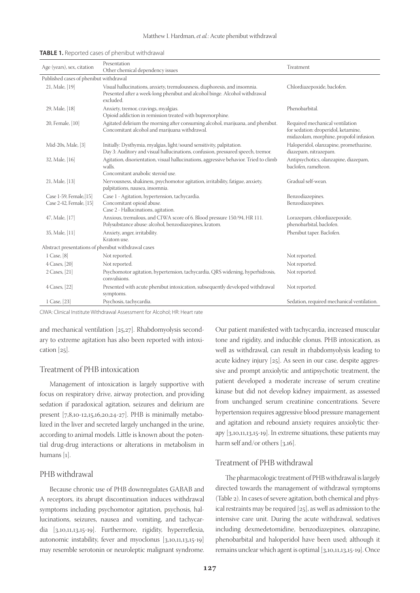| Age (years), sex, citation                          | Presentation<br>Other chemical dependency issues                                                                                                                     | Treatment                                                                                                         |  |  |
|-----------------------------------------------------|----------------------------------------------------------------------------------------------------------------------------------------------------------------------|-------------------------------------------------------------------------------------------------------------------|--|--|
| Published cases of phenibut withdrawal              |                                                                                                                                                                      |                                                                                                                   |  |  |
| 21, Male, [19]                                      | Visual hallucinations, anxiety, tremulousness, diaphoresis, and insomnia.<br>Presented after a week-long phenibut and alcohol binge. Alcohol withdrawal<br>excluded. | Chlordiazepoxide, baclofen.                                                                                       |  |  |
| 29, Male, [18]                                      | Anxiety, tremor, cravings, myalgias.<br>Opioid addiction in remission treated with buprenorphine.                                                                    | Phenobarbital.                                                                                                    |  |  |
| 20, Female, [10]                                    | Agitated delirium the morning after consuming alcohol, marijuana, and phenibut.<br>Concomitant alcohol and marijuana withdrawal.                                     | Required mechanical ventilation<br>for sedation: droperidol, ketamine,<br>midazolam, morphine, propofol infusion. |  |  |
| Mid-20s, Male, [3]                                  | Initially: Dysthymia, myalgias, light/sound sensitivity, palpitation.<br>Day 3: Auditory and visual hallucinations, confusion, pressured speech, tremor.             | Haloperidol, olanzapine, promethazine,<br>diazepam, nitrazepam.                                                   |  |  |
| 32, Male, [16]                                      | Agitation, disorientation, visual hallucinations, aggressive behavior. Tried to climb<br>walls.<br>Concomitant anabolic steroid use.                                 | Antipsychotics, olanzapine, diazepam,<br>baclofen, ramelteon.                                                     |  |  |
| 21, Male, [13]                                      | Nervousness, shakiness, psychomotor agitation, irritability, fatigue, anxiety,<br>palpitations, nausea, insomnia.                                                    | Gradual self-wean.                                                                                                |  |  |
| Case 1-59, Female, [15]<br>Case 2-42, Female, [15]  | Case 1 - Agitation, hypertension, tachycardia.<br>Concomitant opioid abuse.<br>Case 2 - Hallucinations, agitation.                                                   | Benzodiazepines.<br>Benzodiazepines.                                                                              |  |  |
| 47, Male, [17]                                      | Anxious, tremulous, and CIWA score of 6. Blood pressure 150/94, HR 111.<br>Polysubstance abuse: alcohol, benzodiazepines, kratom.                                    | Lorazepam, chlordiazepoxide,<br>phenobarbital, baclofen.                                                          |  |  |
| 35, Male, [11]                                      | Anxiety, anger, irritability.<br>Kratom use.                                                                                                                         | Phenibut taper. Baclofen.                                                                                         |  |  |
| Abstract presentations of phenibut withdrawal cases |                                                                                                                                                                      |                                                                                                                   |  |  |
| 1 Case, [8]                                         | Not reported.                                                                                                                                                        | Not reported.                                                                                                     |  |  |
| 4 Cases, [20]                                       | Not reported.                                                                                                                                                        | Not reported.                                                                                                     |  |  |
| 2 Cases, [21]                                       | Psychomotor agitation, hypertension, tachycardia, QRS widening, hyperhidrosis,<br>convulsions.                                                                       | Not reported.                                                                                                     |  |  |
| 4 Cases, [22]                                       | Presented with acute phenibut intoxication, subsequently developed withdrawal<br>symptoms.                                                                           | Not reported.                                                                                                     |  |  |
| 1 Case, [23]                                        | Psychosis, tachycardia.                                                                                                                                              | Sedation, required mechanical ventilation.                                                                        |  |  |

| <b>TABLE 1.</b> Reported cases of phenibut withdrawal |  |
|-------------------------------------------------------|--|
|-------------------------------------------------------|--|

CIWA: Clinical Institute Withdrawal Assessment for Alcohol; HR: Heart rate

and mechanical ventilation [25,27]. Rhabdomyolysis secondary to extreme agitation has also been reported with intoxication [25].

#### Treatment of PHB intoxication

Management of intoxication is largely supportive with focus on respiratory drive, airway protection, and providing sedation if paradoxical agitation, seizures and delirium are present [7,8,10-12,15,16,20,24-27]. PHB is minimally metabolized in the liver and secreted largely unchanged in the urine, according to animal models. Little is known about the potential drug-drug interactions or alterations in metabolism in humans [1].

#### PHB withdrawal

Because chronic use of PHB downregulates GABAB and A receptors, its abrupt discontinuation induces withdrawal symptoms including psychomotor agitation, psychosis, hallucinations, seizures, nausea and vomiting, and tachycardia [3,10,11,13,15-19]. Furthermore, rigidity, hyperreflexia, autonomic instability, fever and myoclonus [3,10,11,13,15-19] may resemble serotonin or neuroleptic malignant syndrome.

Our patient manifested with tachycardia, increased muscular tone and rigidity, and inducible clonus. PHB intoxication, as well as withdrawal, can result in rhabdomyolysis leading to acute kidney injury [25]. As seen in our case, despite aggressive and prompt anxiolytic and antipsychotic treatment, the patient developed a moderate increase of serum creatine kinase but did not develop kidney impairment, as assessed from unchanged serum creatinine concentrations. Severe hypertension requires aggressive blood pressure management and agitation and rebound anxiety requires anxiolytic therapy [3,10,11,13,15-19]. In extreme situations, these patients may harm self and/or others [3,16].

#### Treatment of PHB withdrawal

The pharmacologic treatment of PHB withdrawal is largely directed towards the management of withdrawal symptoms (Table 2). In cases of severe agitation, both chemical and physical restraints may be required [25], as well as admission to the intensive care unit. During the acute withdrawal, sedatives including dexmedetomidine, benzodiazepines, olanzapine, phenobarbital and haloperidol have been used; although it remains unclear which agent is optimal [3,10,11,13,15-19]. Once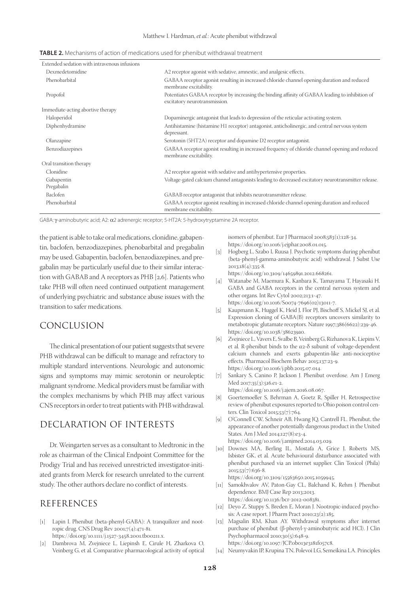| Extended sedation with intravenous infusions |                                                                                                                                  |
|----------------------------------------------|----------------------------------------------------------------------------------------------------------------------------------|
| Dexmedetomidine                              | A2 receptor agonist with sedative, amnestic, and analgesic effects.                                                              |
| Phenobarbital                                | GABAA receptor agonist resulting in increased chloride channel opening duration and reduced<br>membrane excitability.            |
| Propofol                                     | Potentiates GABAA receptor by increasing the binding affinity of GABAA leading to inhibition of<br>excitatory neurotransmission. |
| Immediate-acting abortive therapy            |                                                                                                                                  |
| Haloperidol                                  | Dopaminergic antagonist that leads to depression of the reticular activating system.                                             |
| Diphenhydramine                              | Antihistamine (histamine H1 receptor) antagonist, anticholinergic, and central nervous system<br>depressant.                     |
| Olanzapine                                   | Serotonin (5HT2A) receptor and dopamine D2 receptor antagonist.                                                                  |
| Benzodiazepines                              | GABAA receptor agonist resulting in increased frequency of chloride channel opening and reduced<br>membrane excitability.        |
| Oral transition therapy                      |                                                                                                                                  |
| Clonidine                                    | A2 receptor agonist with sedative and antihypertensive properties.                                                               |
| Gabapentin<br>Pregabalin                     | Voltage-gated calcium channel antagonists leading to decreased excitatory neurotransmitter release.                              |
| Baclofen                                     | GABAB receptor antagonist that inhibits neurotransmitter release.                                                                |
| Phenobarbital                                | GABAA receptor agonist resulting in increased chloride channel opening duration and reduced<br>membrane excitability.            |

**TABLE 2.** Mechanisms of action of medications used for phenibut withdrawal treatment

GABA: γ-aminobutyric acid; A2: α2 adrenergic receptor; 5-HT2A: 5-hydroxytryptamine 2A receptor.

the patient is able to take oral medications, clonidine, gabapentin, baclofen, benzodiazepines, phenobarbital and pregabalin may be used. Gabapentin, baclofen, benzodiazepines, and pregabalin may be particularly useful due to their similar interaction with GABAB and A receptors as PHB [2,6]. Patients who take PHB will often need continued outpatient management of underlying psychiatric and substance abuse issues with the transition to safer medications.

## CONCLUSION

The clinical presentation of our patient suggests that severe PHB withdrawal can be difficult to manage and refractory to multiple standard interventions. Neurologic and autonomic signs and symptoms may mimic serotonin or neuroleptic malignant syndrome. Medical providers must be familiar with the complex mechanisms by which PHB may affect various CNS receptors in order to treat patients with PHB withdrawal.

## DECLARATION OF INTERESTS

Dr. Weingarten serves as a consultant to Medtronic in the role as chairman of the Clinical Endpoint Committee for the Prodigy Trial and has received unrestricted investigator-initiated grants from Merck for research unrelated to the current study. The other authors declare no conflict of interests.

## REFERENCES

- [1] Lapin I. Phenibut (beta-phenyl-GABA): A tranquilizer and nootropic drug. CNS Drug Rev 2001;7(4):471-81. https://doi.org/10.1111/j.1527-3458.2001.tb00211.x.
- [2] Dambrova M, Zvejniece L, Liepinsh E, Cirule H, Zharkova O, Veinberg G, et al*.* Comparative pharmacological activity of optical

isomers of phenibut. Eur J Pharmacol 2008;583(1):128-34. https://doi.org/10.1016/j.ejphar.2008.01.015.

[3] Hogberg L, Szabo I, Ruusa J. Psychotic symptoms during phenibut (beta-phenyl-gamma-aminobutyric acid) withdrawal. J Subst Use 2013;18(4):335-8.

https://doi.org/10.3109/14659891.2012.668261.

- [4] Watanabe M, Maemura K, Kanbara K, Tamayama T, Hayasaki H. GABA and GABA receptors in the central nervous system and other organs. Int Rev Cytol 2002;213:1-47. https://doi.org/10.1016/S0074-7696(02)13011-7.
- [5] Kaupmann K, Huggel K, Heid J, Flor PJ, Bischoff S, Mickel SJ, et al*.* Expression cloning of GABA(B) receptors uncovers similarity to metabotropic glutamate receptors. Nature 1997;386(6622):239-46. https://doi.org/10.1038/386239a0.
- [6] Zvejniece L, Vavers E, Svalbe B, Veinberg G, Rizhanova K, Liepins V, et al*.* R-phenibut binds to the α2-δ subunit of voltage-dependent calcium channels and exerts gabapentin-like anti-nociceptive effects. Pharmacol Biochem Behav 2015;137:23-9. https://doi.org/10.1016/j.pbb.2015.07.014.
- [7] Sankary S, Canino P, Jackson J. Phenibut overdose. Am J Emerg Med 2017;35(3):516.e1-2.
	- https://doi.org/10.1016/j.ajem.2016.08.067.
- [8] Goertemoeller S, Behrman A, Goetz R, Spiller H. Retrospective review of phenibut exposures reported to Ohio poison control centers. Clin Toxicol 2015;53(7):764.
- [9] O'Connell CW, Schneir AB, Hwang JQ, Cantrell FL. Phenibut, the appearance of another potentially dangerous product in the United States. Am J Med 2014;127(8):e3-4. https://doi.org/10.1016/j.amjmed.2014.03.029.
- [10] Downes MA, Berling IL, Mostafa A, Grice J, Roberts MS, Isbister GK, et al*.* Acute behavioural disturbance associated with phenibut purchased via an internet supplier. Clin Toxicol (Phila) 2015;53(7):636-8.

https://doi.org/10.3109/15563650.2015.1059945.

- [11] Samokhvalov AV, Paton-Gay CL, Balchand K, Rehm J. Phenibut dependence. BMJ Case Rep 2013;2013. https://doi.org/10.1136/bcr-2012-008381.
- [12] Deyo Z, Stuppy S, Breden E, Moran J. Nootropic-induced psychosis: A case report. J Pharm Pract 2010;23(2):185.
- [13] Magsalin RM, Khan AY. Withdrawal symptoms after internet purchase of phenibut (β-phenyl-γ-aminobutyric acid HCl). J Clin Psychopharmacol 2010;30(5):648-9. https://doi.org/10.1097/JCP.0b013e3181f057c8.
- [14] Neumyvakin IP, Krupina TN, Polevoĭ LG, Semeĭkina LA. Principles